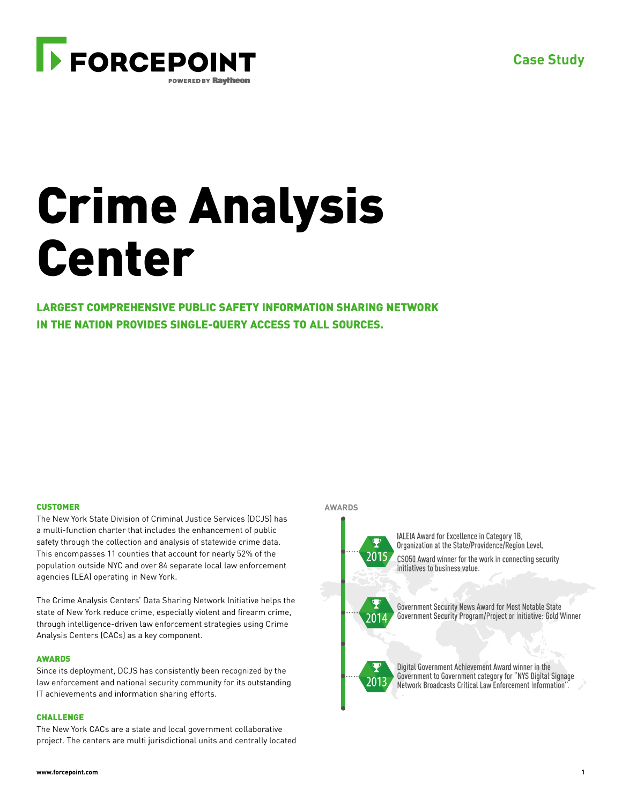

# Crime Analysis Center

LARGEST COMPREHENSIVE PUBLIC SAFETY INFORMATION SHARING NETWORK IN THE NATION PROVIDES SINGLE-QUERY ACCESS TO ALL SOURCES.

# **CUSTOMER**

The New York State Division of Criminal Justice Services (DCJS) has a multi-function charter that includes the enhancement of public safety through the collection and analysis of statewide crime data. This encompasses 11 counties that account for nearly 52% of the population outside NYC and over 84 separate local law enforcement agencies (LEA) operating in New York.

The Crime Analysis Centers' Data Sharing Network Initiative helps the state of New York reduce crime, especially violent and firearm crime, through intelligence-driven law enforcement strategies using Crime Analysis Centers (CACs) as a key component.

## **AWARDS**

Since its deployment, DCJS has consistently been recognized by the law enforcement and national security community for its outstanding IT achievements and information sharing efforts.

## CHALLENGE

The New York CACs are a state and local government collaborative project. The centers are multi jurisdictional units and centrally located

### **AWARDS**